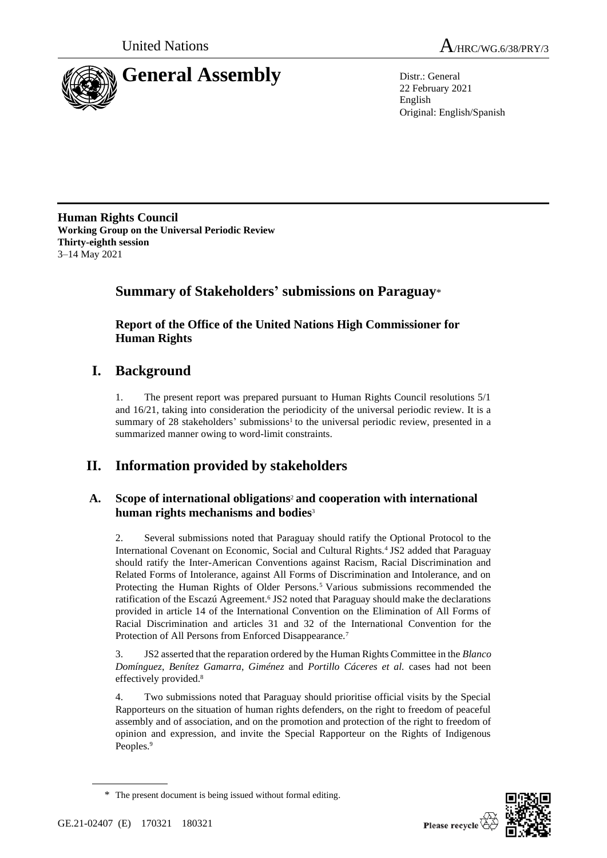



22 February 2021 English Original: English/Spanish

**Human Rights Council Working Group on the Universal Periodic Review Thirty-eighth session** 3–14 May 2021

# **Summary of Stakeholders' submissions on Paraguay**\*

**Report of the Office of the United Nations High Commissioner for Human Rights**

# **I. Background**

1. The present report was prepared pursuant to Human Rights Council resolutions 5/1 and 16/21, taking into consideration the periodicity of the universal periodic review. It is a summary of 28 stakeholders' submissions<sup>1</sup> to the universal periodic review, presented in a summarized manner owing to word-limit constraints.

# **II. Information provided by stakeholders**

# **A. Scope of international obligations**<sup>2</sup> **and cooperation with international human rights mechanisms and bodies**<sup>3</sup>

2. Several submissions noted that Paraguay should ratify the Optional Protocol to the International Covenant on Economic, Social and Cultural Rights.<sup>4</sup> JS2 added that Paraguay should ratify the Inter-American Conventions against Racism, Racial Discrimination and Related Forms of Intolerance, against All Forms of Discrimination and Intolerance, and on Protecting the Human Rights of Older Persons.<sup>5</sup> Various submissions recommended the ratification of the Escazú Agreement.<sup>6</sup> JS2 noted that Paraguay should make the declarations provided in article 14 of the International Convention on the Elimination of All Forms of Racial Discrimination and articles 31 and 32 of the International Convention for the Protection of All Persons from Enforced Disappearance.<sup>7</sup>

3. JS2 asserted that the reparation ordered by the Human Rights Committee in the *Blanco Domínguez*, *Benítez Gamarra*, *Giménez* and *Portillo Cáceres et al.* cases had not been effectively provided.<sup>8</sup>

4. Two submissions noted that Paraguay should prioritise official visits by the Special Rapporteurs on the situation of human rights defenders, on the right to freedom of peaceful assembly and of association, and on the promotion and protection of the right to freedom of opinion and expression, and invite the Special Rapporteur on the Rights of Indigenous Peoples.<sup>9</sup>



<sup>\*</sup> The present document is being issued without formal editing.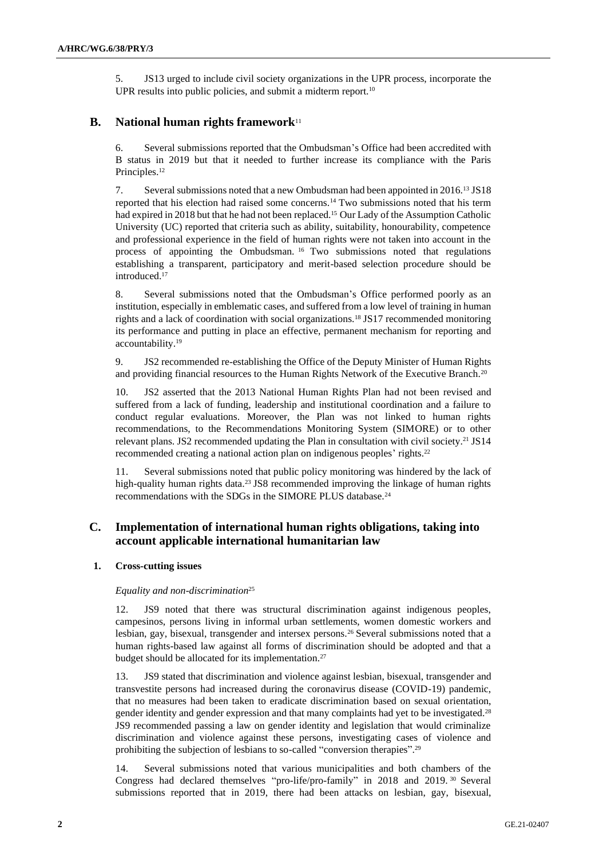5. JS13 urged to include civil society organizations in the UPR process, incorporate the UPR results into public policies, and submit a midterm report.<sup>10</sup>

# **B. National human rights framework**<sup>11</sup>

6. Several submissions reported that the Ombudsman's Office had been accredited with B status in 2019 but that it needed to further increase its compliance with the Paris Principles.<sup>12</sup>

7. Several submissions noted that a new Ombudsman had been appointed in 2016.<sup>13</sup> JS18 reported that his election had raised some concerns.<sup>14</sup> Two submissions noted that his term had expired in 2018 but that he had not been replaced.<sup>15</sup> Our Lady of the Assumption Catholic University (UC) reported that criteria such as ability, suitability, honourability, competence and professional experience in the field of human rights were not taken into account in the process of appointing the Ombudsman. <sup>16</sup> Two submissions noted that regulations establishing a transparent, participatory and merit-based selection procedure should be introduced.<sup>17</sup>

8. Several submissions noted that the Ombudsman's Office performed poorly as an institution, especially in emblematic cases, and suffered from a low level of training in human rights and a lack of coordination with social organizations.<sup>18</sup> JS17 recommended monitoring its performance and putting in place an effective, permanent mechanism for reporting and accountability.<sup>19</sup>

9. JS2 recommended re-establishing the Office of the Deputy Minister of Human Rights and providing financial resources to the Human Rights Network of the Executive Branch.<sup>20</sup>

10. JS2 asserted that the 2013 National Human Rights Plan had not been revised and suffered from a lack of funding, leadership and institutional coordination and a failure to conduct regular evaluations. Moreover, the Plan was not linked to human rights recommendations, to the Recommendations Monitoring System (SIMORE) or to other relevant plans. JS2 recommended updating the Plan in consultation with civil society.<sup>21</sup> JS14 recommended creating a national action plan on indigenous peoples' rights.<sup>22</sup>

11. Several submissions noted that public policy monitoring was hindered by the lack of high-quality human rights data.<sup>23</sup> JS8 recommended improving the linkage of human rights recommendations with the SDGs in the SIMORE PLUS database.<sup>24</sup>

## **C. Implementation of international human rights obligations, taking into account applicable international humanitarian law**

## **1. Cross-cutting issues**

## *Equality and non-discrimination*<sup>25</sup>

12. JS9 noted that there was structural discrimination against indigenous peoples, campesinos, persons living in informal urban settlements, women domestic workers and lesbian, gay, bisexual, transgender and intersex persons.<sup>26</sup> Several submissions noted that a human rights-based law against all forms of discrimination should be adopted and that a budget should be allocated for its implementation.<sup>27</sup>

13. JS9 stated that discrimination and violence against lesbian, bisexual, transgender and transvestite persons had increased during the coronavirus disease (COVID-19) pandemic, that no measures had been taken to eradicate discrimination based on sexual orientation, gender identity and gender expression and that many complaints had yet to be investigated.<sup>28</sup> JS9 recommended passing a law on gender identity and legislation that would criminalize discrimination and violence against these persons, investigating cases of violence and prohibiting the subjection of lesbians to so-called "conversion therapies".<sup>29</sup>

14. Several submissions noted that various municipalities and both chambers of the Congress had declared themselves "pro-life/pro-family" in 2018 and 2019. <sup>30</sup> Several submissions reported that in 2019, there had been attacks on lesbian, gay, bisexual,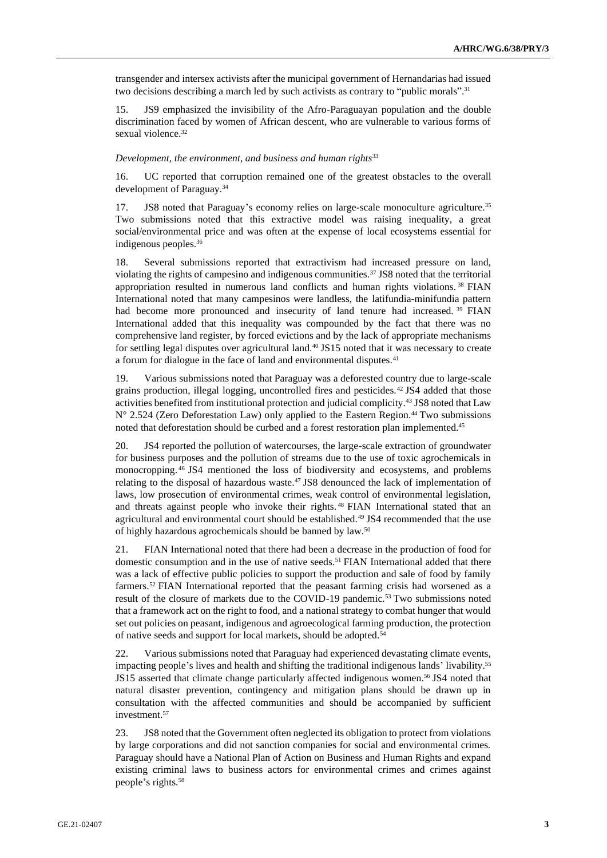transgender and intersex activists after the municipal government of Hernandarias had issued two decisions describing a march led by such activists as contrary to "public morals". 31

15. JS9 emphasized the invisibility of the Afro-Paraguayan population and the double discrimination faced by women of African descent, who are vulnerable to various forms of sexual violence.<sup>32</sup>

#### *Development, the environment, and business and human rights*<sup>33</sup>

16. UC reported that corruption remained one of the greatest obstacles to the overall development of Paraguay.<sup>34</sup>

17. JS8 noted that Paraguay's economy relies on large-scale monoculture agriculture.<sup>35</sup> Two submissions noted that this extractive model was raising inequality, a great social/environmental price and was often at the expense of local ecosystems essential for indigenous peoples.<sup>36</sup>

18. Several submissions reported that extractivism had increased pressure on land, violating the rights of campesino and indigenous communities.<sup>37</sup> JS8 noted that the territorial appropriation resulted in numerous land conflicts and human rights violations. <sup>38</sup> FIAN International noted that many campesinos were landless, the latifundia-minifundia pattern had become more pronounced and insecurity of land tenure had increased. <sup>39</sup> FIAN International added that this inequality was compounded by the fact that there was no comprehensive land register, by forced evictions and by the lack of appropriate mechanisms for settling legal disputes over agricultural land.<sup>40</sup> JS15 noted that it was necessary to create a forum for dialogue in the face of land and environmental disputes.<sup>41</sup>

19. Various submissions noted that Paraguay was a deforested country due to large-scale grains production, illegal logging, uncontrolled fires and pesticides.<sup>42</sup> JS4 added that those activities benefited from institutional protection and judicial complicity.<sup>43</sup> JS8 noted that Law N° 2.524 (Zero Deforestation Law) only applied to the Eastern Region.<sup>44</sup> Two submissions noted that deforestation should be curbed and a forest restoration plan implemented.<sup>45</sup>

20. JS4 reported the pollution of watercourses, the large-scale extraction of groundwater for business purposes and the pollution of streams due to the use of toxic agrochemicals in monocropping. <sup>46</sup> JS4 mentioned the loss of biodiversity and ecosystems, and problems relating to the disposal of hazardous waste.<sup>47</sup> JS8 denounced the lack of implementation of laws, low prosecution of environmental crimes, weak control of environmental legislation, and threats against people who invoke their rights. <sup>48</sup> FIAN International stated that an agricultural and environmental court should be established.<sup>49</sup> JS4 recommended that the use of highly hazardous agrochemicals should be banned by law.<sup>50</sup>

21. FIAN International noted that there had been a decrease in the production of food for domestic consumption and in the use of native seeds.<sup>51</sup> FIAN International added that there was a lack of effective public policies to support the production and sale of food by family farmers.<sup>52</sup> FIAN International reported that the peasant farming crisis had worsened as a result of the closure of markets due to the COVID-19 pandemic.<sup>53</sup> Two submissions noted that a framework act on the right to food, and a national strategy to combat hunger that would set out policies on peasant, indigenous and agroecological farming production, the protection of native seeds and support for local markets, should be adopted.<sup>54</sup>

22. Various submissions noted that Paraguay had experienced devastating climate events, impacting people's lives and health and shifting the traditional indigenous lands' livability.<sup>55</sup> JS15 asserted that climate change particularly affected indigenous women.<sup>56</sup> JS4 noted that natural disaster prevention, contingency and mitigation plans should be drawn up in consultation with the affected communities and should be accompanied by sufficient investment.<sup>57</sup>

23. JS8 noted that the Government often neglected its obligation to protect from violations by large corporations and did not sanction companies for social and environmental crimes. Paraguay should have a National Plan of Action on Business and Human Rights and expand existing criminal laws to business actors for environmental crimes and crimes against people's rights.58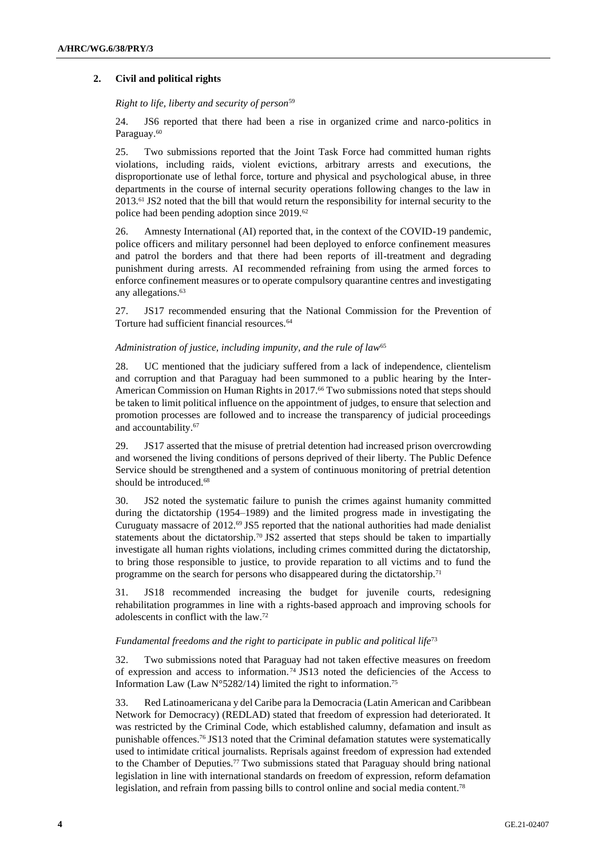## **2. Civil and political rights**

## *Right to life, liberty and security of person*<sup>59</sup>

24. JS6 reported that there had been a rise in organized crime and narco-politics in Paraguay.<sup>60</sup>

25. Two submissions reported that the Joint Task Force had committed human rights violations, including raids, violent evictions, arbitrary arrests and executions, the disproportionate use of lethal force, torture and physical and psychological abuse, in three departments in the course of internal security operations following changes to the law in 2013.<sup>61</sup> JS2 noted that the bill that would return the responsibility for internal security to the police had been pending adoption since 2019.<sup>62</sup>

26. Amnesty International (AI) reported that, in the context of the COVID-19 pandemic, police officers and military personnel had been deployed to enforce confinement measures and patrol the borders and that there had been reports of ill-treatment and degrading punishment during arrests. AI recommended refraining from using the armed forces to enforce confinement measures or to operate compulsory quarantine centres and investigating any allegations.<sup>63</sup>

27. JS17 recommended ensuring that the National Commission for the Prevention of Torture had sufficient financial resources.<sup>64</sup>

## *Administration of justice, including impunity, and the rule of law*<sup>65</sup>

28. UC mentioned that the judiciary suffered from a lack of independence, clientelism and corruption and that Paraguay had been summoned to a public hearing by the Inter-American Commission on Human Rights in 2017.<sup>66</sup> Two submissions noted that steps should be taken to limit political influence on the appointment of judges, to ensure that selection and promotion processes are followed and to increase the transparency of judicial proceedings and accountability.<sup>67</sup>

29. JS17 asserted that the misuse of pretrial detention had increased prison overcrowding and worsened the living conditions of persons deprived of their liberty. The Public Defence Service should be strengthened and a system of continuous monitoring of pretrial detention should be introduced.<sup>68</sup>

30. JS2 noted the systematic failure to punish the crimes against humanity committed during the dictatorship (1954–1989) and the limited progress made in investigating the Curuguaty massacre of 2012.<sup>69</sup> JS5 reported that the national authorities had made denialist statements about the dictatorship.<sup>70</sup> JS2 asserted that steps should be taken to impartially investigate all human rights violations, including crimes committed during the dictatorship, to bring those responsible to justice, to provide reparation to all victims and to fund the programme on the search for persons who disappeared during the dictatorship.<sup>71</sup>

31. JS18 recommended increasing the budget for juvenile courts, redesigning rehabilitation programmes in line with a rights-based approach and improving schools for adolescents in conflict with the law.<sup>72</sup>

## *Fundamental freedoms and the right to participate in public and political life*<sup>73</sup>

32. Two submissions noted that Paraguay had not taken effective measures on freedom of expression and access to information. <sup>74</sup> JS13 noted the deficiencies of the Access to Information Law (Law N°5282/14) limited the right to information.<sup>75</sup>

33. Red Latinoamericana y del Caribe para la Democracia (Latin American and Caribbean Network for Democracy) (REDLAD) stated that freedom of expression had deteriorated. It was restricted by the Criminal Code, which established calumny, defamation and insult as punishable offences. <sup>76</sup> JS13 noted that the Criminal defamation statutes were systematically used to intimidate critical journalists. Reprisals against freedom of expression had extended to the Chamber of Deputies.<sup>77</sup> Two submissions stated that Paraguay should bring national legislation in line with international standards on freedom of expression, reform defamation legislation, and refrain from passing bills to control online and social media content.<sup>78</sup>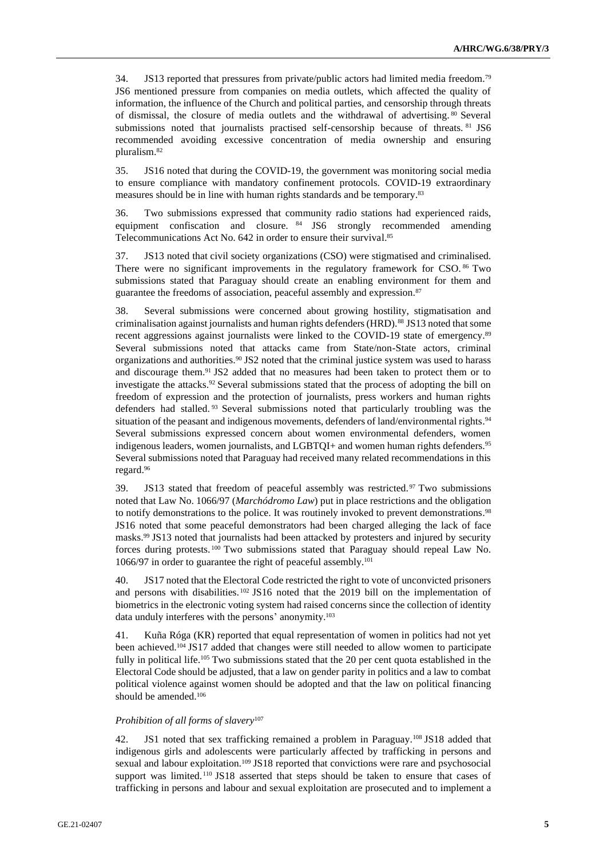34. JS13 reported that pressures from private/public actors had limited media freedom.<sup>79</sup> JS6 mentioned pressure from companies on media outlets, which affected the quality of information, the influence of the Church and political parties, and censorship through threats of dismissal, the closure of media outlets and the withdrawal of advertising. <sup>80</sup> Several submissions noted that journalists practised self-censorship because of threats. <sup>81</sup> JS6 recommended avoiding excessive concentration of media ownership and ensuring pluralism.<sup>82</sup>

35. JS16 noted that during the COVID-19, the government was monitoring social media to ensure compliance with mandatory confinement protocols. COVID-19 extraordinary measures should be in line with human rights standards and be temporary.<sup>83</sup>

36. Two submissions expressed that community radio stations had experienced raids, equipment confiscation and closure. <sup>84</sup> JS6 strongly recommended amending Telecommunications Act No. 642 in order to ensure their survival. 85

37. JS13 noted that civil society organizations (CSO) were stigmatised and criminalised. There were no significant improvements in the regulatory framework for CSO. <sup>86</sup> Two submissions stated that Paraguay should create an enabling environment for them and guarantee the freedoms of association, peaceful assembly and expression.<sup>87</sup>

38. Several submissions were concerned about growing hostility, stigmatisation and criminalisation against journalists and human rights defenders (HRD).<sup>88</sup> JS13 noted that some recent aggressions against journalists were linked to the COVID-19 state of emergency.<sup>89</sup> Several submissions noted that attacks came from State/non-State actors, criminal organizations and authorities.<sup>90</sup> JS2 noted that the criminal justice system was used to harass and discourage them.<sup>91</sup> JS2 added that no measures had been taken to protect them or to investigate the attacks.<sup>92</sup> Several submissions stated that the process of adopting the bill on freedom of expression and the protection of journalists, press workers and human rights defenders had stalled. <sup>93</sup> Several submissions noted that particularly troubling was the situation of the peasant and indigenous movements, defenders of land/environmental rights.<sup>94</sup> Several submissions expressed concern about women environmental defenders, women indigenous leaders, women journalists, and LGBTQI+ and women human rights defenders.<sup>95</sup> Several submissions noted that Paraguay had received many related recommendations in this regard.<sup>96</sup>

39. JS13 stated that freedom of peaceful assembly was restricted.<sup>97</sup> Two submissions noted that Law No. 1066/97 (*Marchódromo Law*) put in place restrictions and the obligation to notify demonstrations to the police. It was routinely invoked to prevent demonstrations.<sup>98</sup> JS16 noted that some peaceful demonstrators had been charged alleging the lack of face masks.<sup>99</sup> JS13 noted that journalists had been attacked by protesters and injured by security forces during protests. <sup>100</sup> Two submissions stated that Paraguay should repeal Law No. 1066/97 in order to guarantee the right of peaceful assembly.<sup>101</sup>

40. JS17 noted that the Electoral Code restricted the right to vote of unconvicted prisoners and persons with disabilities.<sup>102</sup> JS16 noted that the 2019 bill on the implementation of biometrics in the electronic voting system had raised concerns since the collection of identity data unduly interferes with the persons' anonymity.<sup>103</sup>

41. Kuña Róga (KR) reported that equal representation of women in politics had not yet been achieved.<sup>104</sup> JS17 added that changes were still needed to allow women to participate fully in political life.<sup>105</sup> Two submissions stated that the 20 per cent quota established in the Electoral Code should be adjusted, that a law on gender parity in politics and a law to combat political violence against women should be adopted and that the law on political financing should be amended.<sup>106</sup>

## *Prohibition of all forms of slavery*<sup>107</sup>

42. JS1 noted that sex trafficking remained a problem in Paraguay.<sup>108</sup> JS18 added that indigenous girls and adolescents were particularly affected by trafficking in persons and sexual and labour exploitation.<sup>109</sup> JS18 reported that convictions were rare and psychosocial support was limited.<sup>110</sup> JS18 asserted that steps should be taken to ensure that cases of trafficking in persons and labour and sexual exploitation are prosecuted and to implement a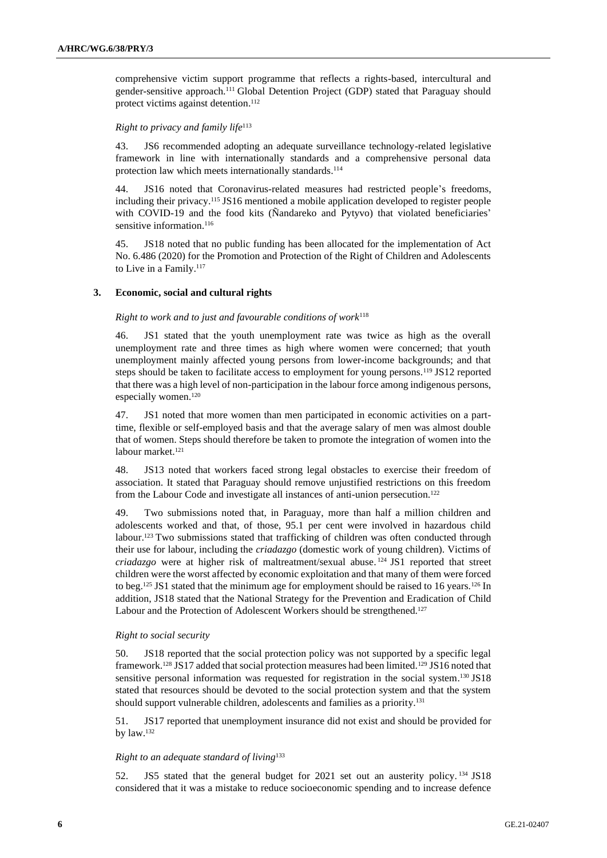comprehensive victim support programme that reflects a rights-based, intercultural and gender-sensitive approach.<sup>111</sup> Global Detention Project (GDP) stated that Paraguay should protect victims against detention. 112

## *Right to privacy and family life*<sup>113</sup>

43. JS6 recommended adopting an adequate surveillance technology-related legislative framework in line with internationally standards and a comprehensive personal data protection law which meets internationally standards. 114

44. JS16 noted that Coronavirus-related measures had restricted people's freedoms, including their privacy.<sup>115</sup> JS16 mentioned a mobile application developed to register people with COVID-19 and the food kits (Ñandareko and Pytyvo) that violated beneficiaries' sensitive information.<sup>116</sup>

45. JS18 noted that no public funding has been allocated for the implementation of Act No. 6.486 (2020) for the Promotion and Protection of the Right of Children and Adolescents to Live in a Family. 117

## **3. Economic, social and cultural rights**

## *Right to work and to just and favourable conditions of work*<sup>118</sup>

46. JS1 stated that the youth unemployment rate was twice as high as the overall unemployment rate and three times as high where women were concerned; that youth unemployment mainly affected young persons from lower-income backgrounds; and that steps should be taken to facilitate access to employment for young persons.<sup>119</sup> JS12 reported that there was a high level of non-participation in the labour force among indigenous persons, especially women.<sup>120</sup>

47. JS1 noted that more women than men participated in economic activities on a parttime, flexible or self-employed basis and that the average salary of men was almost double that of women. Steps should therefore be taken to promote the integration of women into the labour market.<sup>121</sup>

48. JS13 noted that workers faced strong legal obstacles to exercise their freedom of association. It stated that Paraguay should remove unjustified restrictions on this freedom from the Labour Code and investigate all instances of anti-union persecution.<sup>122</sup>

49. Two submissions noted that, in Paraguay, more than half a million children and adolescents worked and that, of those, 95.1 per cent were involved in hazardous child labour. <sup>123</sup> Two submissions stated that trafficking of children was often conducted through their use for labour, including the *criadazgo* (domestic work of young children). Victims of *criadazgo* were at higher risk of maltreatment/sexual abuse. <sup>124</sup> JS1 reported that street children were the worst affected by economic exploitation and that many of them were forced to beg.<sup>125</sup> JS1 stated that the minimum age for employment should be raised to 16 years.<sup>126</sup> In addition, JS18 stated that the National Strategy for the Prevention and Eradication of Child Labour and the Protection of Adolescent Workers should be strengthened.<sup>127</sup>

### *Right to social security*

50. JS18 reported that the social protection policy was not supported by a specific legal framework.<sup>128</sup> JS17 added that social protection measures had been limited.<sup>129</sup> JS16 noted that sensitive personal information was requested for registration in the social system.<sup>130</sup> JS18 stated that resources should be devoted to the social protection system and that the system should support vulnerable children, adolescents and families as a priority.<sup>131</sup>

51. JS17 reported that unemployment insurance did not exist and should be provided for by law.<sup>132</sup>

### *Right to an adequate standard of living*<sup>133</sup>

52. JS5 stated that the general budget for 2021 set out an austerity policy. <sup>134</sup> JS18 considered that it was a mistake to reduce socioeconomic spending and to increase defence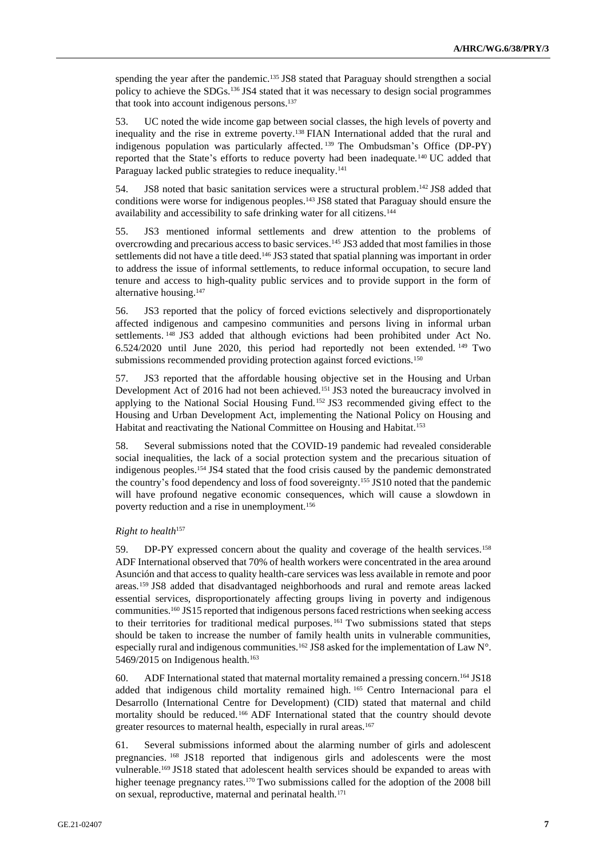spending the year after the pandemic.<sup>135</sup> JS8 stated that Paraguay should strengthen a social policy to achieve the SDGs.<sup>136</sup> JS4 stated that it was necessary to design social programmes that took into account indigenous persons.<sup>137</sup>

53. UC noted the wide income gap between social classes, the high levels of poverty and inequality and the rise in extreme poverty.<sup>138</sup> FIAN International added that the rural and indigenous population was particularly affected. <sup>139</sup> The Ombudsman's Office (DP-PY) reported that the State's efforts to reduce poverty had been inadequate.<sup>140</sup> UC added that Paraguay lacked public strategies to reduce inequality.<sup>141</sup>

54. JS8 noted that basic sanitation services were a structural problem.<sup>142</sup> JS8 added that conditions were worse for indigenous peoples.<sup>143</sup> JS8 stated that Paraguay should ensure the availability and accessibility to safe drinking water for all citizens.<sup>144</sup>

55. JS3 mentioned informal settlements and drew attention to the problems of overcrowding and precarious access to basic services.<sup>145</sup> JS3 added that most families in those settlements did not have a title deed.<sup>146</sup> JS3 stated that spatial planning was important in order to address the issue of informal settlements, to reduce informal occupation, to secure land tenure and access to high-quality public services and to provide support in the form of alternative housing.<sup>147</sup>

56. JS3 reported that the policy of forced evictions selectively and disproportionately affected indigenous and campesino communities and persons living in informal urban settlements. <sup>148</sup> JS3 added that although evictions had been prohibited under Act No. 6.524/2020 until June 2020, this period had reportedly not been extended. <sup>149</sup> Two submissions recommended providing protection against forced evictions.<sup>150</sup>

57. JS3 reported that the affordable housing objective set in the Housing and Urban Development Act of 2016 had not been achieved.<sup>151</sup> JS3 noted the bureaucracy involved in applying to the National Social Housing Fund.<sup>152</sup> JS3 recommended giving effect to the Housing and Urban Development Act, implementing the National Policy on Housing and Habitat and reactivating the National Committee on Housing and Habitat.<sup>153</sup>

58. Several submissions noted that the COVID-19 pandemic had revealed considerable social inequalities, the lack of a social protection system and the precarious situation of indigenous peoples.<sup>154</sup> JS4 stated that the food crisis caused by the pandemic demonstrated the country's food dependency and loss of food sovereignty.<sup>155</sup> JS10 noted that the pandemic will have profound negative economic consequences, which will cause a slowdown in poverty reduction and a rise in unemployment.<sup>156</sup>

### *Right to health*<sup>157</sup>

59. DP-PY expressed concern about the quality and coverage of the health services.<sup>158</sup> ADF International observed that 70% of health workers were concentrated in the area around Asunción and that access to quality health-care services was less available in remote and poor areas.<sup>159</sup> JS8 added that disadvantaged neighborhoods and rural and remote areas lacked essential services, disproportionately affecting groups living in poverty and indigenous communities.<sup>160</sup> JS15 reported that indigenous persons faced restrictions when seeking access to their territories for traditional medical purposes. <sup>161</sup> Two submissions stated that steps should be taken to increase the number of family health units in vulnerable communities, especially rural and indigenous communities.<sup>162</sup> JS8 asked for the implementation of Law N°. 5469/2015 on Indigenous health.<sup>163</sup>

60. ADF International stated that maternal mortality remained a pressing concern.<sup>164</sup> JS18 added that indigenous child mortality remained high. <sup>165</sup> Centro Internacional para el Desarrollo (International Centre for Development) (CID) stated that maternal and child mortality should be reduced. <sup>166</sup> ADF International stated that the country should devote greater resources to maternal health, especially in rural areas.<sup>167</sup>

61. Several submissions informed about the alarming number of girls and adolescent pregnancies. <sup>168</sup> JS18 reported that indigenous girls and adolescents were the most vulnerable.<sup>169</sup> JS18 stated that adolescent health services should be expanded to areas with higher teenage pregnancy rates.<sup>170</sup> Two submissions called for the adoption of the 2008 bill on sexual, reproductive, maternal and perinatal health.<sup>171</sup>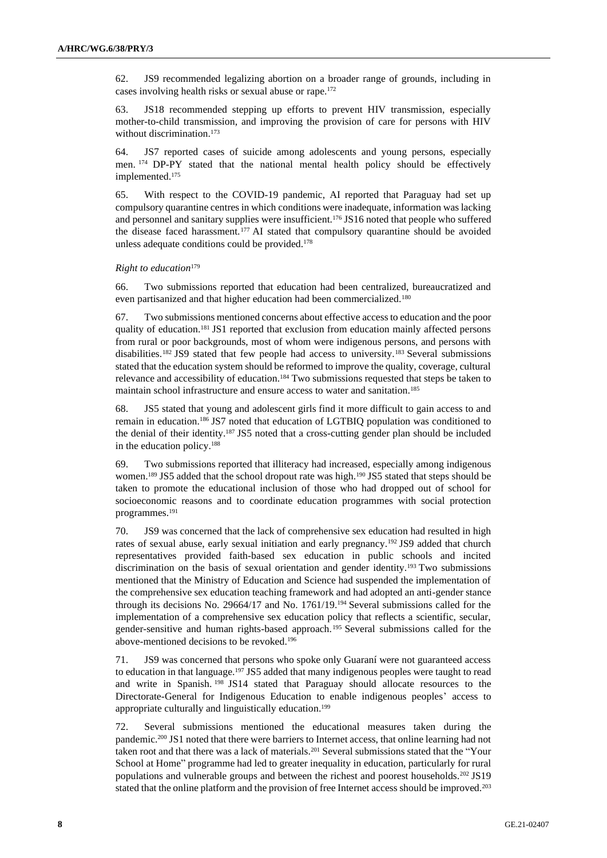62. JS9 recommended legalizing abortion on a broader range of grounds, including in cases involving health risks or sexual abuse or rape.<sup>172</sup>

63. JS18 recommended stepping up efforts to prevent HIV transmission, especially mother-to-child transmission, and improving the provision of care for persons with HIV without discrimination.<sup>173</sup>

64. JS7 reported cases of suicide among adolescents and young persons, especially men. <sup>174</sup> DP-PY stated that the national mental health policy should be effectively implemented.<sup>175</sup>

65. With respect to the COVID-19 pandemic, AI reported that Paraguay had set up compulsory quarantine centres in which conditions were inadequate, information was lacking and personnel and sanitary supplies were insufficient.<sup>176</sup> JS16 noted that people who suffered the disease faced harassment.<sup>177</sup> AI stated that compulsory quarantine should be avoided unless adequate conditions could be provided.<sup>178</sup>

### *Right to education*<sup>179</sup>

66. Two submissions reported that education had been centralized, bureaucratized and even partisanized and that higher education had been commercialized.<sup>180</sup>

Two submissions mentioned concerns about effective access to education and the poor quality of education.<sup>181</sup> JS1 reported that exclusion from education mainly affected persons from rural or poor backgrounds, most of whom were indigenous persons, and persons with disabilities.<sup>182</sup> JS9 stated that few people had access to university.<sup>183</sup> Several submissions stated that the education system should be reformed to improve the quality, coverage, cultural relevance and accessibility of education.<sup>184</sup> Two submissions requested that steps be taken to maintain school infrastructure and ensure access to water and sanitation.<sup>185</sup>

68. JS5 stated that young and adolescent girls find it more difficult to gain access to and remain in education.<sup>186</sup> JS7 noted that education of LGTBIQ population was conditioned to the denial of their identity.<sup>187</sup> JS5 noted that a cross-cutting gender plan should be included in the education policy.<sup>188</sup>

69. Two submissions reported that illiteracy had increased, especially among indigenous women.<sup>189</sup> JS5 added that the school dropout rate was high.<sup>190</sup> JS5 stated that steps should be taken to promote the educational inclusion of those who had dropped out of school for socioeconomic reasons and to coordinate education programmes with social protection programmes.<sup>191</sup>

70. JS9 was concerned that the lack of comprehensive sex education had resulted in high rates of sexual abuse, early sexual initiation and early pregnancy.<sup>192</sup> JS9 added that church representatives provided faith-based sex education in public schools and incited discrimination on the basis of sexual orientation and gender identity.<sup>193</sup> Two submissions mentioned that the Ministry of Education and Science had suspended the implementation of the comprehensive sex education teaching framework and had adopted an anti-gender stance through its decisions No. 29664/17 and No. 1761/19.<sup>194</sup> Several submissions called for the implementation of a comprehensive sex education policy that reflects a scientific, secular, gender-sensitive and human rights-based approach.<sup>195</sup> Several submissions called for the above-mentioned decisions to be revoked.<sup>196</sup>

71. JS9 was concerned that persons who spoke only Guaraní were not guaranteed access to education in that language.<sup>197</sup> JS5 added that many indigenous peoples were taught to read and write in Spanish. <sup>198</sup> JS14 stated that Paraguay should allocate resources to the Directorate-General for Indigenous Education to enable indigenous peoples' access to appropriate culturally and linguistically education.<sup>199</sup>

72. Several submissions mentioned the educational measures taken during the pandemic.<sup>200</sup> JS1 noted that there were barriers to Internet access, that online learning had not taken root and that there was a lack of materials.<sup>201</sup> Several submissions stated that the "Your School at Home" programme had led to greater inequality in education, particularly for rural populations and vulnerable groups and between the richest and poorest households.<sup>202</sup> JS19 stated that the online platform and the provision of free Internet access should be improved.<sup>203</sup>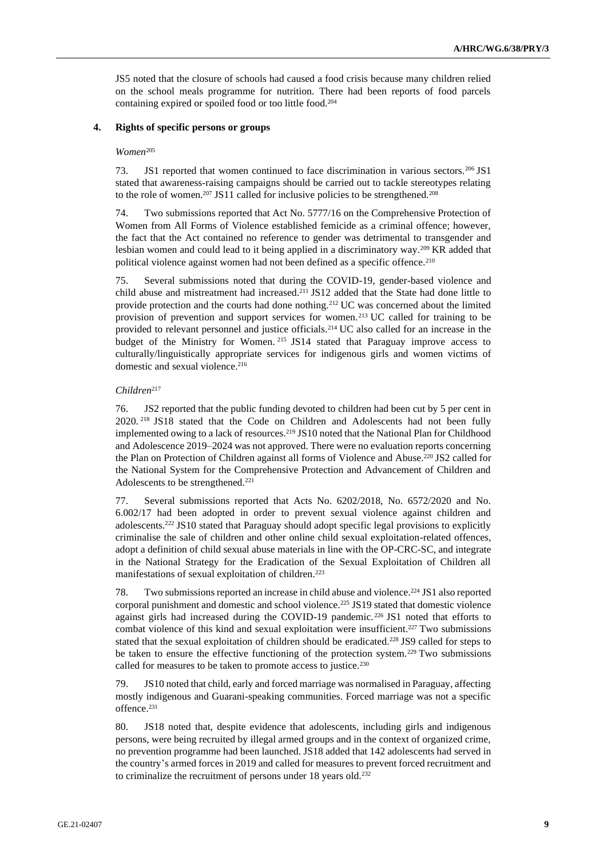JS5 noted that the closure of schools had caused a food crisis because many children relied on the school meals programme for nutrition. There had been reports of food parcels containing expired or spoiled food or too little food.<sup>204</sup>

## **4. Rights of specific persons or groups**

#### *Women*<sup>205</sup>

73. JS1 reported that women continued to face discrimination in various sectors.<sup>206</sup> JS1 stated that awareness-raising campaigns should be carried out to tackle stereotypes relating to the role of women.<sup>207</sup> JS11 called for inclusive policies to be strengthened.<sup>208</sup>

74. Two submissions reported that Act No. 5777/16 on the Comprehensive Protection of Women from All Forms of Violence established femicide as a criminal offence; however, the fact that the Act contained no reference to gender was detrimental to transgender and lesbian women and could lead to it being applied in a discriminatory way.<sup>209</sup> KR added that political violence against women had not been defined as a specific offence.<sup>210</sup>

75. Several submissions noted that during the COVID-19, gender-based violence and child abuse and mistreatment had increased.<sup>211</sup> JS12 added that the State had done little to provide protection and the courts had done nothing.<sup>212</sup> UC was concerned about the limited provision of prevention and support services for women.<sup>213</sup> UC called for training to be provided to relevant personnel and justice officials.<sup>214</sup> UC also called for an increase in the budget of the Ministry for Women. <sup>215</sup> JS14 stated that Paraguay improve access to culturally/linguistically appropriate services for indigenous girls and women victims of domestic and sexual violence.<sup>216</sup>

#### *Children*<sup>217</sup>

76. JS2 reported that the public funding devoted to children had been cut by 5 per cent in 2020. <sup>218</sup> JS18 stated that the Code on Children and Adolescents had not been fully implemented owing to a lack of resources.<sup>219</sup> JS10 noted that the National Plan for Childhood and Adolescence 2019–2024 was not approved. There were no evaluation reports concerning the Plan on Protection of Children against all forms of Violence and Abuse.<sup>220</sup> JS2 called for the National System for the Comprehensive Protection and Advancement of Children and Adolescents to be strengthened.<sup>221</sup>

77. Several submissions reported that Acts No. 6202/2018, No. 6572/2020 and No. 6.002/17 had been adopted in order to prevent sexual violence against children and adolescents.<sup>222</sup> JS10 stated that Paraguay should adopt specific legal provisions to explicitly criminalise the sale of children and other online child sexual exploitation-related offences, adopt a definition of child sexual abuse materials in line with the OP-CRC-SC, and integrate in the National Strategy for the Eradication of the Sexual Exploitation of Children all manifestations of sexual exploitation of children.<sup>223</sup>

78. Two submissions reported an increase in child abuse and violence.<sup>224</sup> JS1 also reported corporal punishment and domestic and school violence.<sup>225</sup> JS19 stated that domestic violence against girls had increased during the COVID-19 pandemic.<sup>226</sup> JS1 noted that efforts to combat violence of this kind and sexual exploitation were insufficient.<sup>227</sup> Two submissions stated that the sexual exploitation of children should be eradicated.<sup>228</sup> JS9 called for steps to be taken to ensure the effective functioning of the protection system.<sup>229</sup> Two submissions called for measures to be taken to promote access to justice.<sup>230</sup>

JS10 noted that child, early and forced marriage was normalised in Paraguay, affecting mostly indigenous and Guarani-speaking communities. Forced marriage was not a specific offence.<sup>231</sup>

80. JS18 noted that, despite evidence that adolescents, including girls and indigenous persons, were being recruited by illegal armed groups and in the context of organized crime, no prevention programme had been launched. JS18 added that 142 adolescents had served in the country's armed forces in 2019 and called for measures to prevent forced recruitment and to criminalize the recruitment of persons under 18 years old.<sup>232</sup>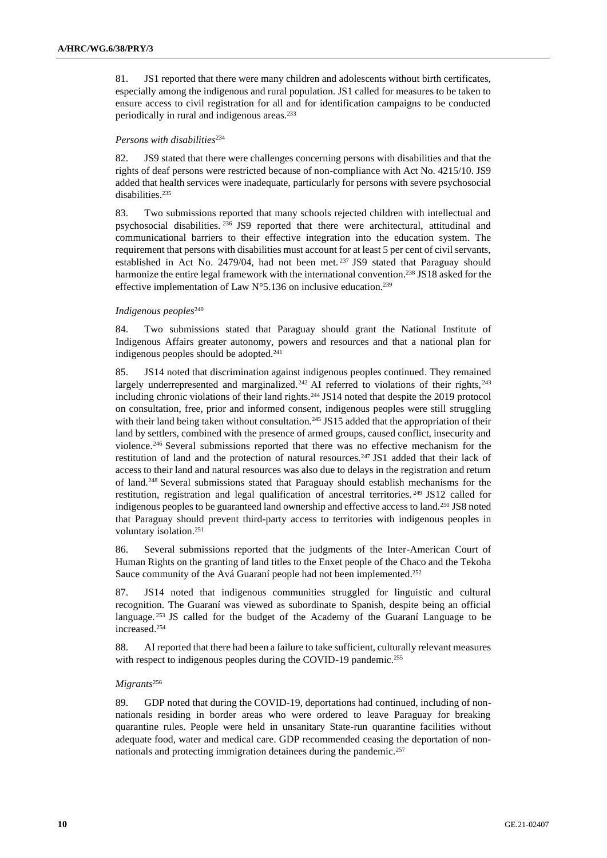81. JS1 reported that there were many children and adolescents without birth certificates, especially among the indigenous and rural population. JS1 called for measures to be taken to ensure access to civil registration for all and for identification campaigns to be conducted periodically in rural and indigenous areas.<sup>233</sup>

## *Persons with disabilities*<sup>234</sup>

82. JS9 stated that there were challenges concerning persons with disabilities and that the rights of deaf persons were restricted because of non-compliance with Act No. 4215/10. JS9 added that health services were inadequate, particularly for persons with severe psychosocial disabilities.<sup>235</sup>

83. Two submissions reported that many schools rejected children with intellectual and psychosocial disabilities. <sup>236</sup> JS9 reported that there were architectural, attitudinal and communicational barriers to their effective integration into the education system. The requirement that persons with disabilities must account for at least 5 per cent of civil servants, established in Act No. 2479/04, had not been met.<sup>237</sup> JS9 stated that Paraguay should harmonize the entire legal framework with the international convention.<sup>238</sup> JS18 asked for the effective implementation of Law  $N^{\circ}$ 5.136 on inclusive education.<sup>239</sup>

### *Indigenous peoples*<sup>240</sup>

84. Two submissions stated that Paraguay should grant the National Institute of Indigenous Affairs greater autonomy, powers and resources and that a national plan for indigenous peoples should be adopted.<sup>241</sup>

85. JS14 noted that discrimination against indigenous peoples continued. They remained largely underrepresented and marginalized.<sup>242</sup> AI referred to violations of their rights,<sup>243</sup> including chronic violations of their land rights.<sup>244</sup> JS14 noted that despite the 2019 protocol on consultation, free, prior and informed consent, indigenous peoples were still struggling with their land being taken without consultation.<sup>245</sup> JS15 added that the appropriation of their land by settlers, combined with the presence of armed groups, caused conflict, insecurity and violence.<sup>246</sup> Several submissions reported that there was no effective mechanism for the restitution of land and the protection of natural resources.<sup>247</sup> JS1 added that their lack of access to their land and natural resources was also due to delays in the registration and return of land.<sup>248</sup> Several submissions stated that Paraguay should establish mechanisms for the restitution, registration and legal qualification of ancestral territories. <sup>249</sup> JS12 called for indigenous peoples to be guaranteed land ownership and effective access to land.<sup>250</sup> JS8 noted that Paraguay should prevent third-party access to territories with indigenous peoples in voluntary isolation.<sup>251</sup>

86. Several submissions reported that the judgments of the Inter-American Court of Human Rights on the granting of land titles to the Enxet people of the Chaco and the Tekoha Sauce community of the Avá Guaraní people had not been implemented.<sup>252</sup>

87. JS14 noted that indigenous communities struggled for linguistic and cultural recognition. The Guaraní was viewed as subordinate to Spanish, despite being an official language. <sup>253</sup> JS called for the budget of the Academy of the Guaraní Language to be increased.<sup>254</sup>

88. AI reported that there had been a failure to take sufficient, culturally relevant measures with respect to indigenous peoples during the COVID-19 pandemic.<sup>255</sup>

## *Migrants*<sup>256</sup>

89. GDP noted that during the COVID-19, deportations had continued, including of nonnationals residing in border areas who were ordered to leave Paraguay for breaking quarantine rules. People were held in unsanitary State-run quarantine facilities without adequate food, water and medical care. GDP recommended ceasing the deportation of nonnationals and protecting immigration detainees during the pandemic.<sup>257</sup>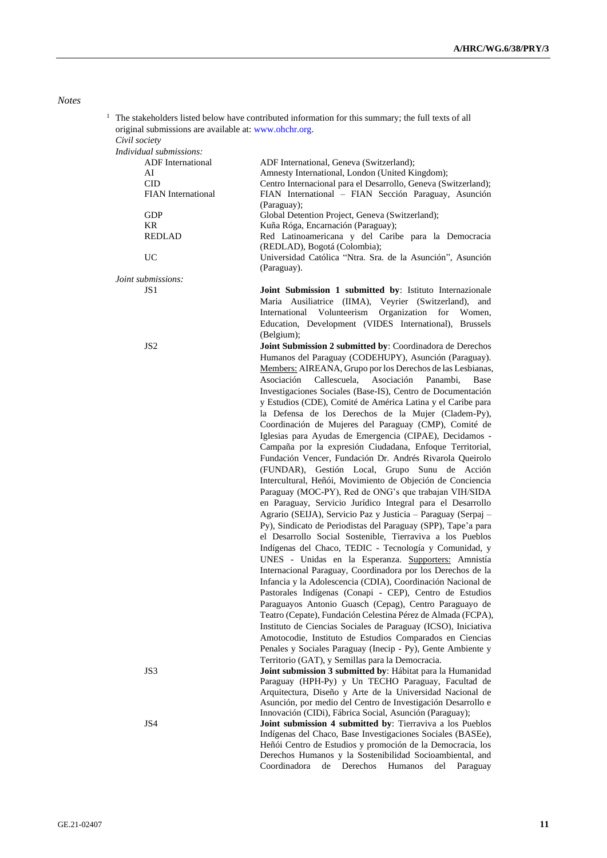#### *Notes*

|                                                       | <sup>1</sup> The stakeholders listed below have contributed information for this summary; the full texts of all |
|-------------------------------------------------------|-----------------------------------------------------------------------------------------------------------------|
| original submissions are available at: www.ohchr.org. |                                                                                                                 |
|                                                       |                                                                                                                 |

*Civil society*

| Individual submissions:   |                                                                |
|---------------------------|----------------------------------------------------------------|
| <b>ADF</b> International  | ADF International, Geneva (Switzerland);                       |
| AI                        | Amnesty International, London (United Kingdom);                |
| <b>CID</b>                | Centro Internacional para el Desarrollo, Geneva (Switzerland); |
| <b>FIAN</b> International | FIAN International – FIAN Sección Paraguay, Asunción           |
|                           | (Paraguay);                                                    |
| <b>GDP</b>                | Global Detention Project, Geneva (Switzerland);                |
| KR.                       | Kuña Róga, Encarnación (Paraguay);                             |
| <b>REDLAD</b>             | Red Latinoamericana y del Caribe para la Democracia            |
|                           | (REDLAD), Bogotá (Colombia);                                   |
| UC                        | Universidad Católica "Ntra. Sra. de la Asunción", Asunción     |
|                           | (Paraguay).                                                    |
| Joint submissions:        |                                                                |

JS1 **Joint Submission 1 submitted by**: Istituto Internazionale Maria Ausiliatrice (IIMA), Veyrier (Switzerland), and International Volunteerism Organization for Women, Education, Development (VIDES International), Brussels (Belgium);

JS2 **Joint Submission 2 submitted by**: Coordinadora de Derechos Humanos del Paraguay (CODEHUPY), Asunción (Paraguay). Members: AIREANA, Grupo por los Derechos de las Lesbianas, Asociación Callescuela, Asociación Panambi, Base Investigaciones Sociales (Base-IS), Centro de Documentación y Estudios (CDE), Comité de América Latina y el Caribe para la Defensa de los Derechos de la Mujer (Cladem-Py), Coordinación de Mujeres del Paraguay (CMP), Comité de Iglesias para Ayudas de Emergencia (CIPAE), Decidamos - Campaña por la expresión Ciudadana, Enfoque Territorial, Fundación Vencer, Fundación Dr. Andrés Rivarola Queirolo (FUNDAR), Gestión Local, Grupo Sunu de Acción Intercultural, Heñói, Movimiento de Objeción de Conciencia Paraguay (MOC-PY), Red de ONG's que trabajan VIH/SIDA en Paraguay, Servicio Jurídico Integral para el Desarrollo Agrario (SEIJA), Servicio Paz y Justicia – Paraguay (Serpaj – Py), Sindicato de Periodistas del Paraguay (SPP), Tape'a para el Desarrollo Social Sostenible, Tierraviva a los Pueblos Indígenas del Chaco, TEDIC - Tecnología y Comunidad, y UNES - Unidas en la Esperanza. Supporters: Amnistía Internacional Paraguay, Coordinadora por los Derechos de la Infancia y la Adolescencia (CDIA), Coordinación Nacional de Pastorales Indígenas (Conapi - CEP), Centro de Estudios Paraguayos Antonio Guasch (Cepag), Centro Paraguayo de Teatro (Cepate), Fundación Celestina Pérez de Almada (FCPA), Instituto de Ciencias Sociales de Paraguay (ICSO), Iniciativa Amotocodie, Instituto de Estudios Comparados en Ciencias Penales y Sociales Paraguay (Inecip - Py), Gente Ambiente y Territorio (GAT), y Semillas para la Democracia. JS3 **Joint submission 3 submitted by**: Hábitat para la Humanidad Paraguay (HPH-Py) y Un TECHO Paraguay, Facultad de Arquitectura, Diseño y Arte de la Universidad Nacional de Asunción, por medio del Centro de Investigación Desarrollo e Innovación (CIDi), Fábrica Social, Asunción (Paraguay);

JS4 **Joint submission 4 submitted by**: Tierraviva a los Pueblos Indígenas del Chaco, Base Investigaciones Sociales (BASEe), Heñói Centro de Estudios y promoción de la Democracia, los Derechos Humanos y la Sostenibilidad Socioambiental, and Coordinadora de Derechos Humanos del Paraguay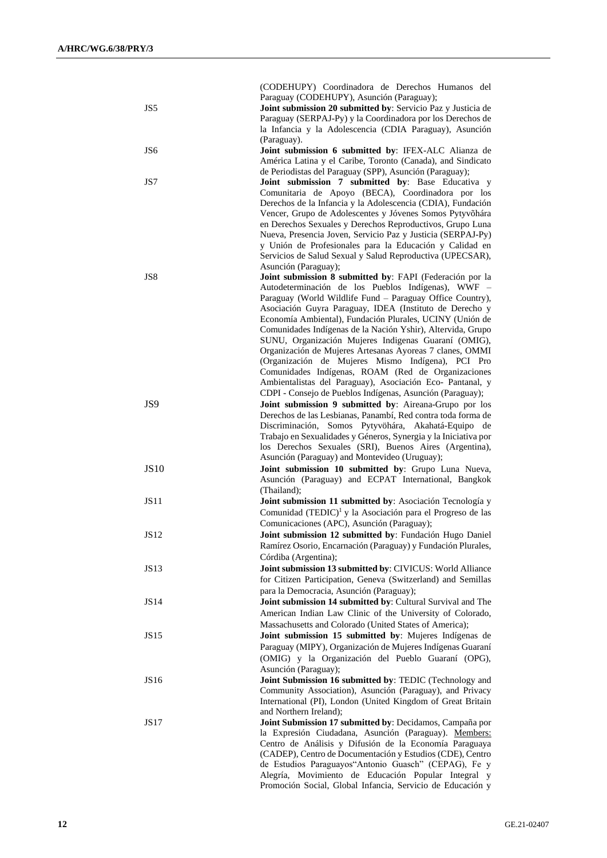| JS5              | (CODEHUPY) Coordinadora de Derechos Humanos del<br>Paraguay (CODEHUPY), Asunción (Paraguay);<br>Joint submission 20 submitted by: Servicio Paz y Justicia de<br>Paraguay (SERPAJ-Py) y la Coordinadora por los Derechos de<br>la Infancia y la Adolescencia (CDIA Paraguay), Asunción                                                                                                                                                                                                                                                                                                                                                                                                                                                                                                                                                                                                        |
|------------------|----------------------------------------------------------------------------------------------------------------------------------------------------------------------------------------------------------------------------------------------------------------------------------------------------------------------------------------------------------------------------------------------------------------------------------------------------------------------------------------------------------------------------------------------------------------------------------------------------------------------------------------------------------------------------------------------------------------------------------------------------------------------------------------------------------------------------------------------------------------------------------------------|
| JS <sub>6</sub>  | (Paraguay).<br>Joint submission 6 submitted by: IFEX-ALC Alianza de<br>América Latina y el Caribe, Toronto (Canada), and Sindicato                                                                                                                                                                                                                                                                                                                                                                                                                                                                                                                                                                                                                                                                                                                                                           |
| JS7              | de Periodistas del Paraguay (SPP), Asunción (Paraguay);<br>Joint submission 7 submitted by: Base Educativa y<br>Comunitaria de Apoyo (BECA), Coordinadora por los                                                                                                                                                                                                                                                                                                                                                                                                                                                                                                                                                                                                                                                                                                                            |
| JS8              | Derechos de la Infancia y la Adolescencia (CDIA), Fundación<br>Vencer, Grupo de Adolescentes y Jóvenes Somos Pytyvõhára<br>en Derechos Sexuales y Derechos Reproductivos, Grupo Luna<br>Nueva, Presencia Joven, Servicio Paz y Justicia (SERPAJ-Py)<br>y Unión de Profesionales para la Educación y Calidad en<br>Servicios de Salud Sexual y Salud Reproductiva (UPECSAR),<br>Asunción (Paraguay);<br>Joint submission 8 submitted by: FAPI (Federación por la<br>Autodeterminación de los Pueblos Indígenas), WWF -<br>Paraguay (World Wildlife Fund - Paraguay Office Country),<br>Asociación Guyra Paraguay, IDEA (Instituto de Derecho y<br>Economía Ambiental), Fundación Plurales, UCINY (Unión de<br>Comunidades Indígenas de la Nación Yshir), Altervida, Grupo<br>SUNU, Organización Mujeres Indigenas Guaraní (OMIG),<br>Organización de Mujeres Artesanas Ayoreas 7 clanes, OMMI |
| JS9              | (Organización de Mujeres Mismo Indígena), PCI Pro<br>Comunidades Indígenas, ROAM (Red de Organizaciones<br>Ambientalistas del Paraguay), Asociación Eco- Pantanal, y<br>CDPI - Consejo de Pueblos Indígenas, Asunción (Paraguay);<br>Joint submission 9 submitted by: Aireana-Grupo por los<br>Derechos de las Lesbianas, Panambí, Red contra toda forma de<br>Discriminación, Somos Pytyvöhára, Akahatá-Equipo de<br>Trabajo en Sexualidades y Géneros, Synergia y la Iniciativa por<br>los Derechos Sexuales (SRI), Buenos Aires (Argentina),<br>Asunción (Paraguay) and Montevideo (Uruguay);                                                                                                                                                                                                                                                                                             |
| <b>JS10</b>      | Joint submission 10 submitted by: Grupo Luna Nueva,<br>Asunción (Paraguay) and ECPAT International, Bangkok<br>(Thailand);                                                                                                                                                                                                                                                                                                                                                                                                                                                                                                                                                                                                                                                                                                                                                                   |
| JS <sub>11</sub> | Joint submission 11 submitted by: Asociación Tecnología y<br>Comunidad (TEDIC) <sup>1</sup> y la Asociación para el Progreso de las<br>Comunicaciones (APC), Asunción (Paraguay);                                                                                                                                                                                                                                                                                                                                                                                                                                                                                                                                                                                                                                                                                                            |
| JS12             | Joint submission 12 submitted by: Fundación Hugo Daniel<br>Ramírez Osorio, Encarnación (Paraguay) y Fundación Plurales,                                                                                                                                                                                                                                                                                                                                                                                                                                                                                                                                                                                                                                                                                                                                                                      |
| JS13             | Córdiba (Argentina);<br>Joint submission 13 submitted by: CIVICUS: World Alliance<br>for Citizen Participation, Geneva (Switzerland) and Semillas                                                                                                                                                                                                                                                                                                                                                                                                                                                                                                                                                                                                                                                                                                                                            |
| JS14             | para la Democracia, Asunción (Paraguay);<br>Joint submission 14 submitted by: Cultural Survival and The<br>American Indian Law Clinic of the University of Colorado,                                                                                                                                                                                                                                                                                                                                                                                                                                                                                                                                                                                                                                                                                                                         |
| JS15             | Massachusetts and Colorado (United States of America);<br>Joint submission 15 submitted by: Mujeres Indígenas de<br>Paraguay (MIPY), Organización de Mujeres Indígenas Guaraní<br>(OMIG) y la Organización del Pueblo Guaraní (OPG),                                                                                                                                                                                                                                                                                                                                                                                                                                                                                                                                                                                                                                                         |
| JS16             | Asunción (Paraguay);<br>Joint Submission 16 submitted by: TEDIC (Technology and<br>Community Association), Asunción (Paraguay), and Privacy<br>International (PI), London (United Kingdom of Great Britain                                                                                                                                                                                                                                                                                                                                                                                                                                                                                                                                                                                                                                                                                   |
| JS17             | and Northern Ireland);<br>Joint Submission 17 submitted by: Decidamos, Campaña por<br>la Expresión Ciudadana, Asunción (Paraguay). Members:<br>Centro de Análisis y Difusión de la Economía Paraguaya<br>(CADEP), Centro de Documentación y Estudios (CDE), Centro<br>de Estudios Paraguayos"Antonio Guasch" (CEPAG), Fe y<br>Alegría, Movimiento de Educación Popular Integral y<br>Promoción Social, Global Infancia, Servicio de Educación y                                                                                                                                                                                                                                                                                                                                                                                                                                              |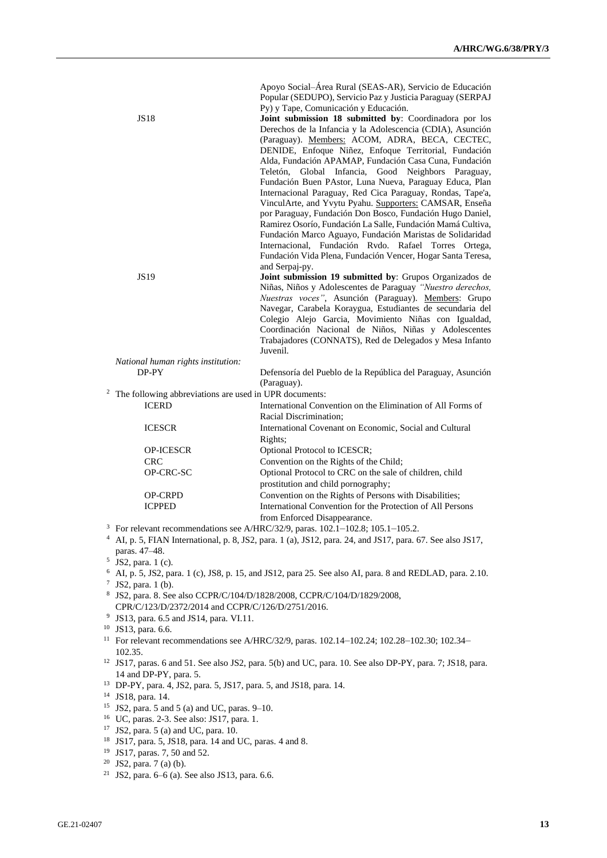|   |                                                            | Apoyo Social-Área Rural (SEAS-AR), Servicio de Educación<br>Popular (SEDUPO), Servicio Paz y Justicia Paraguay (SERPAJ |
|---|------------------------------------------------------------|------------------------------------------------------------------------------------------------------------------------|
|   |                                                            | Py) y Tape, Comunicación y Educación.                                                                                  |
|   | <b>JS18</b>                                                | Joint submission 18 submitted by: Coordinadora por los                                                                 |
|   |                                                            | Derechos de la Infancia y la Adolescencia (CDIA), Asunción                                                             |
|   |                                                            | (Paraguay). Members: ACOM, ADRA, BECA, CECTEC,                                                                         |
|   |                                                            | DENIDE, Enfoque Niñez, Enfoque Territorial, Fundación                                                                  |
|   |                                                            | Alda, Fundación APAMAP, Fundación Casa Cuna, Fundación                                                                 |
|   |                                                            | Infancia,<br>Good<br>Neighbors<br>Teletón,<br>Global<br>Paraguay,                                                      |
|   |                                                            | Fundación Buen PAstor, Luna Nueva, Paraguay Educa, Plan                                                                |
|   |                                                            | Internacional Paraguay, Red Cica Paraguay, Rondas, Tape'a,                                                             |
|   |                                                            | VinculArte, and Yvytu Pyahu. Supporters: CAMSAR, Enseña<br>por Paraguay, Fundación Don Bosco, Fundación Hugo Daniel,   |
|   |                                                            | Ramirez Osorío, Fundación La Salle, Fundación Mamá Cultiva,                                                            |
|   |                                                            | Fundación Marco Aguayo, Fundación Maristas de Solidaridad                                                              |
|   |                                                            | Internacional, Fundación Rvdo. Rafael Torres Ortega,                                                                   |
|   |                                                            | Fundación Vida Plena, Fundación Vencer, Hogar Santa Teresa,                                                            |
|   |                                                            | and Serpaj-py.                                                                                                         |
|   | <b>JS19</b>                                                | Joint submission 19 submitted by: Grupos Organizados de                                                                |
|   |                                                            | Niñas, Niños y Adolescentes de Paraguay "Nuestro derechos,                                                             |
|   |                                                            | Nuestras voces", Asunción (Paraguay). Members: Grupo                                                                   |
|   |                                                            | Navegar, Carabela Koraygua, Estudiantes de secundaria del                                                              |
|   |                                                            | Colegio Alejo Garcia, Movimiento Niñas con Igualdad,<br>Coordinación Nacional de Niños, Niñas y Adolescentes           |
|   |                                                            | Trabajadores (CONNATS), Red de Delegados y Mesa Infanto                                                                |
|   |                                                            | Juvenil.                                                                                                               |
|   | National human rights institution:                         |                                                                                                                        |
|   | DP-PY                                                      | Defensoría del Pueblo de la República del Paraguay, Asunción                                                           |
|   |                                                            | (Paraguay).                                                                                                            |
|   | $2$ The following abbreviations are used in UPR documents: |                                                                                                                        |
|   | <b>ICERD</b>                                               | International Convention on the Elimination of All Forms of                                                            |
|   |                                                            | Racial Discrimination:                                                                                                 |
|   | <b>ICESCR</b>                                              | International Covenant on Economic, Social and Cultural                                                                |
|   |                                                            | Rights;                                                                                                                |
|   | <b>OP-ICESCR</b>                                           | Optional Protocol to ICESCR;                                                                                           |
|   | <b>CRC</b>                                                 | Convention on the Rights of the Child;                                                                                 |
|   | OP-CRC-SC                                                  | Optional Protocol to CRC on the sale of children, child                                                                |
|   |                                                            | prostitution and child pornography;                                                                                    |
|   | <b>OP-CRPD</b>                                             | Convention on the Rights of Persons with Disabilities;                                                                 |
|   | <b>ICPPED</b>                                              | International Convention for the Protection of All Persons                                                             |
|   |                                                            | from Enforced Disappearance.                                                                                           |
|   |                                                            | <sup>3</sup> For relevant recommendations see A/HRC/32/9, paras. $102.1 - 102.8$ ; $105.1 - 105.2$ .                   |
| 4 |                                                            | AI, p. 5, FIAN International, p. 8, JS2, para. 1 (a), JS12, para. 24, and JS17, para. 67. See also JS17,               |
|   | paras. 47-48.                                              |                                                                                                                        |

- 
- 5 JS2, para. 1 (c).
- <sup>6</sup> AI, p. 5, JS2, para. 1 (c), JS8, p. 15, and JS12, para 25. See also AI, para. 8 and REDLAD, para. 2.10.
- $7$  JS2, para. 1 (b).
- 8 JS2, para. 8. See also CCPR/C/104/D/1828/2008, CCPR/C/104/D/1829/2008, CPR/C/123/D/2372/2014 and CCPR/C/126/D/2751/2016.
- 9 JS13, para. 6.5 and JS14, para. VI.11.
- <sup>10</sup> JS13, para. 6.6.
- <sup>11</sup> For relevant recommendations see A/HRC/32/9, paras. 102.14–102.24; 102.28–102.30; 102.34– 102.35.
- <sup>12</sup> JS17, paras. 6 and 51. See also JS2, para. 5(b) and UC, para. 10. See also DP-PY, para. 7; JS18, para. 14 and DP-PY, para. 5.
- <sup>13</sup> DP-PY, para. 4, JS2, para. 5, JS17, para. 5, and JS18, para. 14.

<sup>14</sup> JS18, para. 14.

- <sup>15</sup> JS2, para. 5 and 5 (a) and UC, paras. 9–10.
- <sup>16</sup> UC, paras. 2-3. See also: JS17, para. 1.
- <sup>17</sup> JS2, para. 5 (a) and UC, para. 10.
- <sup>18</sup> JS17, para. 5, JS18, para. 14 and UC, paras. 4 and 8.
- <sup>19</sup> JS17, paras. 7, 50 and 52.
- <sup>20</sup> JS2, para. 7 (a) (b).
- <sup>21</sup> JS2, para. 6–6 (a). See also JS13, para. 6.6.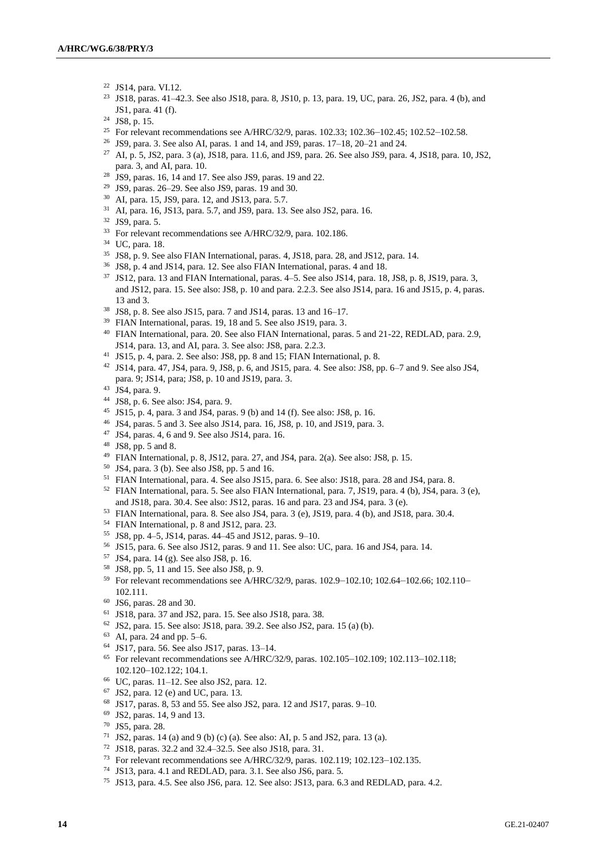- JS14, para. VI.12.
- JS18, paras. 41–42.3. See also JS18, para. 8, JS10, p. 13, para. 19, UC, para. 26, JS2, para. 4 (b), and JS1, para. 41 (f).
- JS8, p. 15.
- <sup>25</sup> For relevant recommendations see A/HRC/32/9, paras. 102.33; 102.36–102.45; 102.52–102.58.
- <sup>26</sup> JS9, para. 3. See also AI, paras. 1 and 14, and JS9, paras.  $17-18$ ,  $20-21$  and  $24$ .
- AI, p. 5, JS2, para. 3 (a), JS18, para. 11.6, and JS9, para. 26. See also JS9, para. 4, JS18, para. 10, JS2, para. 3, and AI, para. 10.
- JS9, paras. 16, 14 and 17. See also JS9, paras. 19 and 22.
- JS9, paras. 26–29. See also JS9, paras. 19 and 30.
- AI, para. 15, JS9, para. 12, and JS13, para. 5.7.
- AI, para. 16, JS13, para. 5.7, and JS9, para. 13. See also JS2, para. 16.
- JS9, para. 5.
- <sup>33</sup> For relevant recommendations see A/HRC/32/9, para. 102.186.
- UC, para. 18.
- JS8, p. 9. See also FIAN International, paras. 4, JS18, para. 28, and JS12, para. 14.
- JS8, p. 4 and JS14, para. 12. See also FIAN International, paras. 4 and 18.
- JS12, para. 13 and FIAN International, paras. 4–5. See also JS14, para. 18, JS8, p. 8, JS19, para. 3, and JS12, para. 15. See also: JS8, p. 10 and para. 2.2.3. See also JS14, para. 16 and JS15, p. 4, paras. 13 and 3.
- JS8, p. 8. See also JS15, para. 7 and JS14, paras. 13 and 16–17.
- FIAN International, paras. 19, 18 and 5. See also JS19, para. 3.
- FIAN International, para. 20. See also FIAN International, paras. 5 and 21-22, REDLAD, para. 2.9, JS14, para. 13, and AI, para. 3. See also: JS8, para. 2.2.3.
- JS15, p. 4, para. 2. See also: JS8, pp. 8 and 15; FIAN International, p. 8.
- JS14, para. 47, JS4, para. 9, JS8, p. 6, and JS15, para. 4. See also: JS8, pp. 6–7 and 9. See also JS4, para. 9; JS14, para; JS8, p. 10 and JS19, para. 3.
- JS4, para. 9.
- JS8, p. 6. See also: JS4, para. 9.
- JS15, p. 4, para. 3 and JS4, paras. 9 (b) and 14 (f). See also: JS8, p. 16.
- JS4, paras. 5 and 3. See also JS14, para. 16, JS8, p. 10, and JS19, para. 3.
- JS4, paras. 4, 6 and 9. See also JS14, para. 16.
- JS8, pp. 5 and 8.
- FIAN International, p. 8, JS12, para. 27, and JS4, para. 2(a). See also: JS8, p. 15.
- JS4, para. 3 (b). See also JS8, pp. 5 and 16.
- FIAN International, para. 4. See also JS15, para. 6. See also: JS18, para. 28 and JS4, para. 8.
- FIAN International, para. 5. See also FIAN International, para. 7, JS19, para. 4 (b), JS4, para. 3 (e), and JS18, para. 30.4. See also: JS12, paras. 16 and para. 23 and JS4, para. 3 (e).
- FIAN International, para. 8. See also JS4, para. 3 (e), JS19, para. 4 (b), and JS18, para. 30.4.
- FIAN International, p. 8 and JS12, para. 23.
- JS8, pp. 4–5, JS14, paras. 44–45 and JS12, paras. 9–10.
- JS15, para. 6. See also JS12, paras. 9 and 11. See also: UC, para. 16 and JS4, para. 14.
- JS4, para. 14 (g). See also JS8, p. 16.
- JS8, pp. 5, 11 and 15. See also JS8, p. 9.
- For relevant recommendations see A/HRC/32/9, paras. 102.9–102.10; 102.64–102.66; 102.110– 102.111.
- JS6, paras. 28 and 30.
- JS18, para. 37 and JS2, para. 15. See also JS18, para. 38.
- JS2, para. 15. See also: JS18, para. 39.2. See also JS2, para. 15 (a) (b).
- AI, para. 24 and pp. 5–6.
- JS17, para. 56. See also JS17, paras. 13–14.
- For relevant recommendations see A/HRC/32/9, paras. 102.105–102.109; 102.113–102.118; 102.120–102.122; 104.1.
- UC, paras. 11–12. See also JS2, para. 12.
- JS2, para. 12 (e) and UC, para. 13.
- JS17, paras. 8, 53 and 55. See also JS2, para. 12 and JS17, paras. 9–10.
- JS2, paras. 14, 9 and 13.
- JS5, para. 28.
- <sup>71</sup> JS2, paras. 14 (a) and 9 (b) (c) (a). See also: AI, p. 5 and JS2, para. 13 (a).
- JS18, paras. 32.2 and 32.4–32.5. See also JS18, para. 31.
- For relevant recommendations see A/HRC/32/9, paras. 102.119; 102.123–102.135.
- JS13, para. 4.1 and REDLAD, para. 3.1. See also JS6, para. 5.
- JS13, para. 4.5. See also JS6, para. 12. See also: JS13, para. 6.3 and REDLAD, para. 4.2.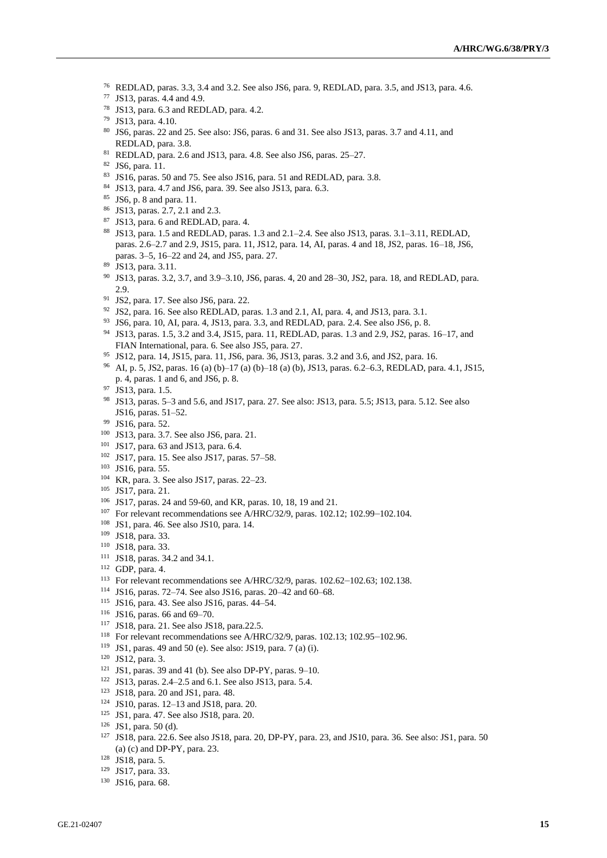- REDLAD, paras. 3.3, 3.4 and 3.2. See also JS6, para. 9, REDLAD, para. 3.5, and JS13, para. 4.6.
- JS13, paras. 4.4 and 4.9.
- JS13, para. 6.3 and REDLAD, para. 4.2.
- JS13, para. 4.10.
- JS6, paras. 22 and 25. See also: JS6, paras. 6 and 31. See also JS13, paras. 3.7 and 4.11, and REDLAD, para. 3.8.
- REDLAD, para. 2.6 and JS13, para. 4.8. See also JS6, paras. 25–27.
- JS6, para. 11.
- JS16, paras. 50 and 75. See also JS16, para. 51 and REDLAD, para. 3.8.
- JS13, para. 4.7 and JS6, para. 39. See also JS13, para. 6.3.
- JS6, p. 8 and para. 11.
- JS13, paras. 2.7, 2.1 and 2.3.
- JS13, para. 6 and REDLAD, para. 4.
- JS13, para. 1.5 and REDLAD, paras. 1.3 and 2.1–2.4. See also JS13, paras. 3.1–3.11, REDLAD, paras. 2.6–2.7 and 2.9, JS15, para. 11, JS12, para. 14, AI, paras. 4 and 18, JS2, paras. 16–18, JS6, paras. 3–5, 16–22 and 24, and JS5, para. 27.

- JS13, paras. 3.2, 3.7, and 3.9–3.10, JS6, paras. 4, 20 and 28–30, JS2, para. 18, and REDLAD, para. 2.9.
- JS2, para. 17. See also JS6, para. 22.
- JS2, para. 16. See also REDLAD, paras. 1.3 and 2.1, AI, para. 4, and JS13, para. 3.1.
- JS6, para. 10, AI, para. 4, JS13, para. 3.3, and REDLAD, para. 2.4. See also JS6, p. 8.
- JS13, paras. 1.5, 3.2 and 3.4, JS15, para. 11, REDLAD, paras. 1.3 and 2.9, JS2, paras. 16–17, and FIAN International, para. 6. See also JS5, para. 27.
- JS12, para. 14, JS15, para. 11, JS6, para. 36, JS13, paras. 3.2 and 3.6, and JS2, para. 16.
- AI, p. 5, JS2, paras. 16 (a) (b)–17 (a) (b)–18 (a) (b), JS13, paras. 6.2–6.3, REDLAD, para. 4.1, JS15, p. 4, paras. 1 and 6, and JS6, p. 8.
- JS13, para. 1.5.
- JS13, paras. 5–3 and 5.6, and JS17, para. 27. See also: JS13, para. 5.5; JS13, para. 5.12. See also JS16, paras. 51–52.
- JS16, para. 52.
- JS13, para. 3.7. See also JS6, para. 21.
- JS17, para. 63 and JS13, para. 6.4.
- JS17, para. 15. See also JS17, paras. 57–58.
- JS16, para. 55.
- KR, para. 3. See also JS17, paras. 22–23.
- JS17, para. 21.
- JS17, paras. 24 and 59-60, and KR, paras. 10, 18, 19 and 21.
- For relevant recommendations see A/HRC/32/9, paras. 102.12; 102.99–102.104.
- JS1, para. 46. See also JS10, para. 14.
- JS18, para. 33.
- JS18, para. 33.
- JS18, paras. 34.2 and 34.1.
- GDP, para. 4.
- For relevant recommendations see A/HRC/32/9, paras. 102.62–102.63; 102.138.
- JS16, paras. 72–74. See also JS16, paras. 20–42 and 60–68.
- JS16, para. 43. See also JS16, paras. 44–54.
- JS16, paras. 66 and 69–70.
- JS18, para. 21. See also JS18, para.22.5.
- For relevant recommendations see A/HRC/32/9, paras. 102.13; 102.95–102.96.
- JS1, paras. 49 and 50 (e). See also: JS19, para. 7 (a) (i).
- JS12, para. 3.
- JS1, paras. 39 and 41 (b). See also DP-PY, paras. 9–10.
- JS13, paras. 2.4–2.5 and 6.1. See also JS13, para. 5.4.
- JS18, para. 20 and JS1, para. 48.
- JS10, paras. 12–13 and JS18, para. 20.
- JS1, para. 47. See also JS18, para. 20.
- JS1, para. 50 (d).
- JS18, para. 22.6. See also JS18, para. 20, DP-PY, para. 23, and JS10, para. 36. See also: JS1, para. 50 (a) (c) and DP-PY, para. 23.
- JS18, para. 5.
- JS17, para. 33.
- JS16, para. 68.

JS13, para. 3.11.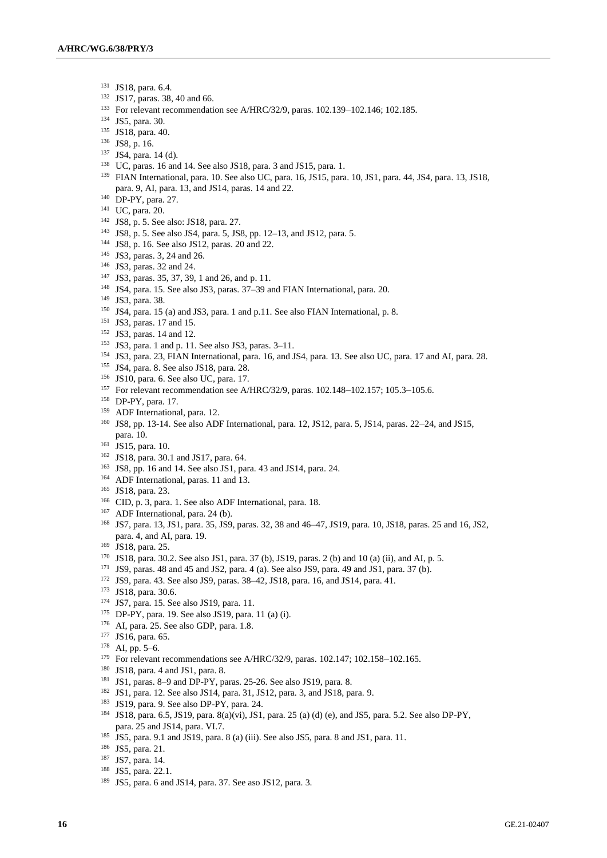- JS18, para. 6.4.
- JS17, paras. 38, 40 and 66.
- For relevant recommendation see A/HRC/32/9, paras. 102.139–102.146; 102.185.
- JS5, para. 30.
- JS18, para. 40.
- JS8, p. 16.
- JS4, para. 14 (d).
- UC, paras. 16 and 14. See also JS18, para. 3 and JS15, para. 1.
- FIAN International, para. 10. See also UC, para. 16, JS15, para. 10, JS1, para. 44, JS4, para. 13, JS18, para. 9, AI, para. 13, and JS14, paras. 14 and 22.
- DP-PY, para. 27.
- UC, para. 20.
- JS8, p. 5. See also: JS18, para. 27.
- JS8, p. 5. See also JS4, para. 5, JS8, pp. 12–13, and JS12, para. 5.
- JS8, p. 16. See also JS12, paras. 20 and 22.
- JS3, paras. 3, 24 and 26.
- JS3, paras. 32 and 24.
- JS3, paras. 35, 37, 39, 1 and 26, and p. 11.
- JS4, para. 15. See also JS3, paras. 37–39 and FIAN International, para. 20.
- JS3, para. 38.
- JS4, para. 15 (a) and JS3, para. 1 and p.11. See also FIAN International, p. 8.
- JS3, paras. 17 and 15.
- JS3, paras. 14 and 12.
- JS3, para. 1 and p. 11. See also JS3, paras. 3–11.
- JS3, para. 23, FIAN International, para. 16, and JS4, para. 13. See also UC, para. 17 and AI, para. 28.
- JS4, para. 8. See also JS18, para. 28.
- JS10, para. 6. See also UC, para. 17.
- For relevant recommendation see A/HRC/32/9, paras. 102.148–102.157; 105.3–105.6.
- DP-PY, para. 17.
- ADF International, para. 12.
- JS8, pp. 13-14. See also ADF International, para. 12, JS12, para. 5, JS14, paras. 22–24, and JS15, para. 10.
- JS15, para. 10.
- JS18, para. 30.1 and JS17, para. 64.
- JS8, pp. 16 and 14. See also JS1, para. 43 and JS14, para. 24.
- ADF International, paras. 11 and 13.
- JS18, para. 23.
- CID, p. 3, para. 1. See also ADF International, para. 18.
- ADF International, para. 24 (b).
- JS7, para. 13, JS1, para. 35, JS9, paras. 32, 38 and 46–47, JS19, para. 10, JS18, paras. 25 and 16, JS2, para. 4, and AI, para. 19.
- JS18, para. 25.
- JS18, para. 30.2. See also JS1, para. 37 (b), JS19, paras. 2 (b) and 10 (a) (ii), and AI, p. 5.
- JS9, paras. 48 and 45 and JS2, para. 4 (a). See also JS9, para. 49 and JS1, para. 37 (b).
- JS9, para. 43. See also JS9, paras. 38–42, JS18, para. 16, and JS14, para. 41.
- JS18, para. 30.6.
- JS7, para. 15. See also JS19, para. 11.
- DP-PY, para. 19. See also JS19, para. 11 (a) (i).
- AI, para. 25. See also GDP, para. 1.8.
- JS16, para. 65.
- AI, pp. 5–6.
- For relevant recommendations see A/HRC/32/9, paras. 102.147; 102.158–102.165.
- JS18, para. 4 and JS1, para. 8.
- JS1, paras. 8–9 and DP-PY, paras. 25-26. See also JS19, para. 8.
- JS1, para. 12. See also JS14, para. 31, JS12, para. 3, and JS18, para. 9.
- JS19, para. 9. See also DP-PY, para. 24.
- JS18, para. 6.5, JS19, para. 8(a)(vi), JS1, para. 25 (a) (d) (e), and JS5, para. 5.2. See also DP-PY, para. 25 and JS14, para. VI.7.
- <sup>185</sup> JS5, para. 9.1 and JS19, para. 8 (a) (iii). See also JS5, para. 8 and JS1, para. 11.
- JS5, para. 21.
- JS7, para. 14.
- JS5, para. 22.1.
- JS5, para. 6 and JS14, para. 37. See aso JS12, para. 3.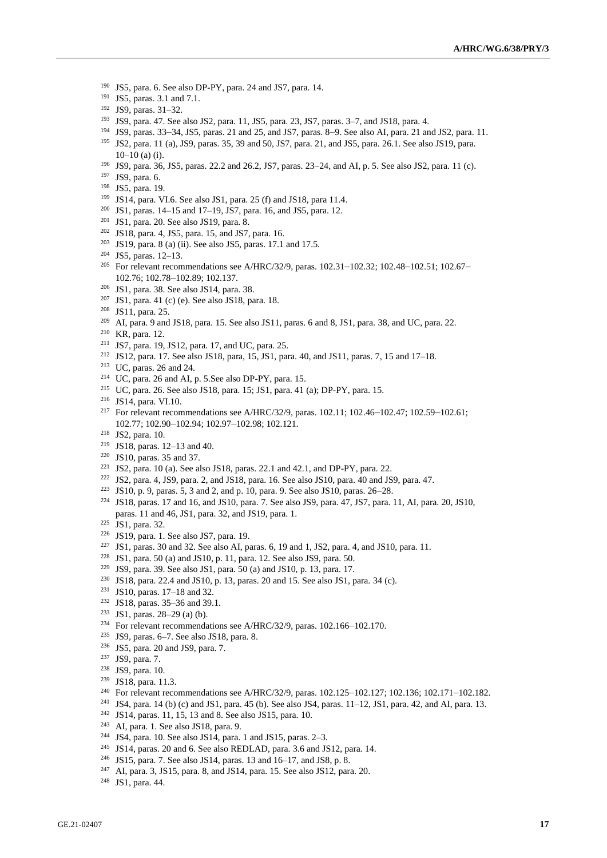- JS5, para. 6. See also DP-PY, para. 24 and JS7, para. 14.
- JS5, paras. 3.1 and 7.1.
- JS9, paras. 31–32.
- JS9, para. 47. See also JS2, para. 11, JS5, para. 23, JS7, paras. 3–7, and JS18, para. 4.
- JS9, paras. 33–34, JS5, paras. 21 and 25, and JS7, paras. 8–9. See also AI, para. 21 and JS2, para. 11.
- JS2, para. 11 (a), JS9, paras. 35, 39 and 50, JS7, para. 21, and JS5, para. 26.1. See also JS19, para.  $10-10$  (a) (i).
- JS9, para. 36, JS5, paras. 22.2 and 26.2, JS7, paras. 23–24, and AI, p. 5. See also JS2, para. 11 (c).
- JS9, para. 6.
- JS5, para. 19.
- JS14, para. VI.6. See also JS1, para. 25 (f) and JS18, para 11.4.
- JS1, paras. 14–15 and 17–19, JS7, para. 16, and JS5, para. 12.
- JS1, para. 20. See also JS19, para. 8.
- JS18, para. 4, JS5, para. 15, and JS7, para. 16.
- JS19, para. 8 (a) (ii). See also JS5, paras. 17.1 and 17.5.
- JS5, paras. 12–13.
- For relevant recommendations see A/HRC/32/9, paras. 102.31–102.32; 102.48–102.51; 102.67– 102.76; 102.78–102.89; 102.137.
- JS1, para. 38. See also JS14, para. 38.
- <sup>207</sup> JS1, para. 41 (c) (e). See also JS18, para. 18.
- JS11, para. 25.
- AI, para. 9 and JS18, para. 15. See also JS11, paras. 6 and 8, JS1, para. 38, and UC, para. 22.
- KR, para. 12.
- JS7, para. 19, JS12, para. 17, and UC, para. 25.
- JS12, para. 17. See also JS18, para, 15, JS1, para. 40, and JS11, paras. 7, 15 and 17–18.
- UC, paras. 26 and 24.
- UC, para. 26 and AI, p. 5.See also DP-PY, para. 15.
- UC, para. 26. See also JS18, para. 15; JS1, para. 41 (a); DP-PY, para. 15.
- JS14, para. VI.10.
- For relevant recommendations see A/HRC/32/9, paras. 102.11; 102.46–102.47; 102.59–102.61; 102.77; 102.90–102.94; 102.97–102.98; 102.121.
- JS2, para. 10.
- JS18, paras. 12–13 and 40.
- JS10, paras. 35 and 37.
- <sup>221</sup> JS2, para. 10 (a). See also JS18, paras. 22.1 and 42.1, and DP-PY, para. 22.
- JS2, para. 4, JS9, para. 2, and JS18, para. 16. See also JS10, para. 40 and JS9, para. 47.
- JS10, p. 9, paras. 5, 3 and 2, and p. 10, para. 9. See also JS10, paras. 26–28.
- JS18, paras. 17 and 16, and JS10, para. 7. See also JS9, para. 47, JS7, para. 11, AI, para. 20, JS10, paras. 11 and 46, JS1, para. 32, and JS19, para. 1.
- JS1, para. 32.
- JS19, para. 1. See also JS7, para. 19.
- <sup>227</sup> JS1, paras. 30 and 32. See also AI, paras. 6, 19 and 1, JS2, para. 4, and JS10, para. 11.
- JS1, para. 50 (a) and JS10, p. 11, para. 12. See also JS9, para. 50.
- JS9, para. 39. See also JS1, para. 50 (a) and JS10, p. 13, para. 17.
- JS18, para. 22.4 and JS10, p. 13, paras. 20 and 15. See also JS1, para. 34 (c).
- JS10, paras. 17–18 and 32.
- JS18, paras. 35–36 and 39.1.
- JS1, paras. 28–29 (a) (b).
- For relevant recommendations see A/HRC/32/9, paras. 102.166–102.170.
- JS9, paras. 6–7. See also JS18, para. 8.
- JS5, para. 20 and JS9, para. 7.
- JS9, para. 7.
- JS9, para. 10.
- JS18, para. 11.3.
- For relevant recommendations see A/HRC/32/9, paras. 102.125–102.127; 102.136; 102.171–102.182.
- JS4, para. 14 (b) (c) and JS1, para. 45 (b). See also JS4, paras. 11–12, JS1, para. 42, and AI, para. 13.
- JS14, paras. 11, 15, 13 and 8. See also JS15, para. 10.
- AI, para. 1. See also JS18, para. 9.
- JS4, para. 10. See also JS14, para. 1 and JS15, paras. 2–3.
- JS14, paras. 20 and 6. See also REDLAD, para. 3.6 and JS12, para. 14.
- JS15, para. 7. See also JS14, paras. 13 and 16–17, and JS8, p. 8.
- AI, para. 3, JS15, para. 8, and JS14, para. 15. See also JS12, para. 20.
- JS1, para. 44.